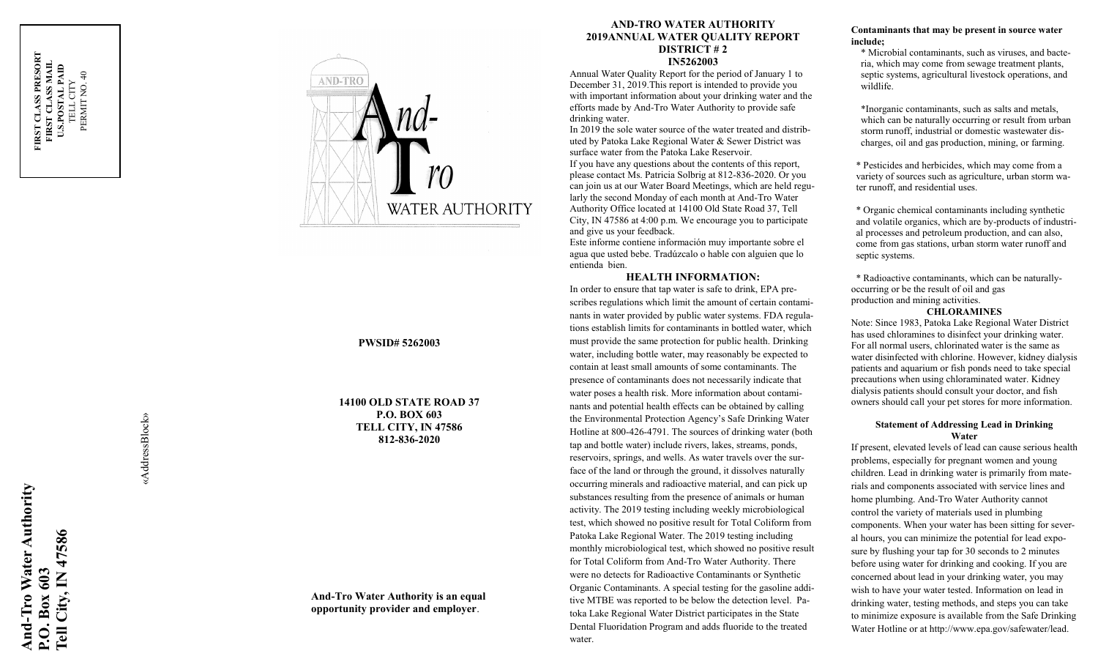

# **PWSID# 5262003**

**14100 OLD STATE ROAD 37 P.O. BOX 603 TELL CITY, IN 47586 812 -836 -2020**

# **And -Tro Water Authority is an equal opportunity provider and employer** .

### **AND -TRO WATER AUTHORITY 2019ANNUAL WATER QUALITY REPORT DISTRICT # 2 IN5262003**

Annual Water Quality Report for the period of January 1 to December 31, 2019.This report is intended to provide you with important information about your drinking water and the efforts made by And -Tro Water Authority to provide safe drinking water.

In 2019 the sole water source of the water treated and distributed by Patoka Lake Regional Water & Sewer District was surface water from the Patoka Lake Reservoir. If you have any questions about the contents of this report, please contact Ms. Patricia Solbrig at 812 -836 -2020. Or you can join us at our Water Board Meetings, which are held regularly the second Monday of each month at And-Tro Water

Authority Office located at 14100 Old State Road 37, Tell City, IN 47586 at 4:00 p.m. We encourage you to participate and give us your feedback.

Este informe contiene información muy importante sobre el agua que usted bebe. Tradúzcalo o hable con alguien que lo entienda bien.

### **HEALTH INFORMATION:**

In order to ensure that tap water is safe to drink, EPA prescribes regulations which limit the amount of certain contaminants in water provided by public water systems. FDA regulations establish limits for contaminants in bottled water, which must provide the same protection for public health. Drinking water, including bottle water, may reasonably be expected to contain at least small amounts of some contaminants. The presence of contaminants does not necessarily indicate that water poses a health risk. More information about contaminants and potential health effects can be obtained by calling the Environmental Protection Agency's Safe Drinking Water Hotline at 800 -426 -4791. The sources of drinking water (both tap and bottle water) include rivers, lakes, streams, ponds, reservoirs, springs, and wells. As water travels over the surface of the land or through the ground, it dissolves naturally occurring minerals and radioactive material, and can pick up substances resulting from the presence of animals or human activity. The 2019 testing including weekly microbiological test, which showed no positive result for Total Coliform from Patoka Lake Regional Water. The 2019 testing including monthly microbiological test, which showed no positive result for Total Coliform from And -Tro Water Authority. There were no detects for Radioactive Contaminants or Synthetic Organic Contaminants. A special testing for the gasoline additive MTBE was reported to be below the detection level. Patoka Lake Regional Water District participates in the State Dental Fluoridation Program and adds fluoride to the treated water.

# **Contaminants that may be present in source water include;**

\* Microbial contaminants, such as viruses, and bacteria, which may come from sewage treatment plants, septic systems, agricultural livestock operations, and wildlife.

\*Inorganic contaminants, such as salts and metals, which can be naturally occurring or result from urban storm runoff, industrial or domestic wastewater discharges, oil and gas production, mining, or farming.

\* Pesticides and herbicides, which may come from a variety of sources such as agriculture, urban storm water runoff, and residential uses.

\* Organic chemical contaminants including synthetic and volatile organics, which are by -products of industrial processes and petroleum production, and can also, come from gas stations, urban storm water runoff and septic systems.

\* Radioactive contaminants, which can be naturally occurring or be the result of oil and gas production and mining activities.

#### **CHLORAMINES**

Note: Since 1983, Patoka Lake Regional Water District has used chloramines to disinfect your drinking water. For all normal users, chlorinated water is the same as water disinfected with chlorine. However, kidney dialysis patients and aquarium or fish ponds need to take special precautions when using chloraminated water. Kidney dialysis patients should consult your doctor, and fish owners should call your pet stores for more information.

### **Statement of Addressing Lead in Drinking Water**

If present, elevated levels of lead can cause serious health problems, especially for pregnant women and young children. Lead in drinking water is primarily from materials and components associated with service lines and home plumbing. And -Tro Water Authority cannot control the variety of materials used in plumbing components. When your water has been sitting for several hours, you can minimize the potential for lead exposure by flushing your tap for 30 seconds to 2 minutes before using water for drinking and cooking. If you are concerned about lead in your drinking water, you may wish to have your water tested. Information on lead in drinking water, testing methods, and steps you can take to minimize exposure is available from the Safe Drinking Water Hotline or at http://www.epa.gov/safewater/lead.

«AddressBlock» «AddressBlock»